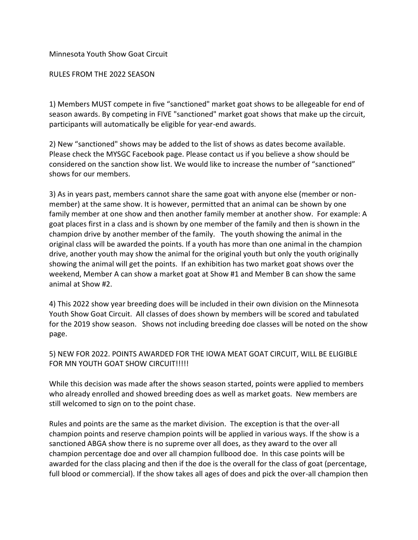Minnesota Youth Show Goat Circuit

RULES FROM THE 2022 SEASON

1) Members MUST compete in five "sanctioned" market goat shows to be allegeable for end of season awards. By competing in FIVE "sanctioned" market goat shows that make up the circuit, participants will automatically be eligible for year-end awards.

2) New "sanctioned" shows may be added to the list of shows as dates become available. Please check the MYSGC Facebook page. Please contact us if you believe a show should be considered on the sanction show list. We would like to increase the number of "sanctioned" shows for our members.

3) As in years past, members cannot share the same goat with anyone else (member or nonmember) at the same show. It is however, permitted that an animal can be shown by one family member at one show and then another family member at another show. For example: A goat places first in a class and is shown by one member of the family and then is shown in the champion drive by another member of the family. The youth showing the animal in the original class will be awarded the points. If a youth has more than one animal in the champion drive, another youth may show the animal for the original youth but only the youth originally showing the animal will get the points. If an exhibition has two market goat shows over the weekend, Member A can show a market goat at Show #1 and Member B can show the same animal at Show #2.

4) This 2022 show year breeding does will be included in their own division on the Minnesota Youth Show Goat Circuit. All classes of does shown by members will be scored and tabulated for the 2019 show season. Shows not including breeding doe classes will be noted on the show page.

5) NEW FOR 2022. POINTS AWARDED FOR THE IOWA MEAT GOAT CIRCUIT, WILL BE ELIGIBLE FOR MN YOUTH GOAT SHOW CIRCUIT!!!!!

While this decision was made after the shows season started, points were applied to members who already enrolled and showed breeding does as well as market goats. New members are still welcomed to sign on to the point chase.

Rules and points are the same as the market division. The exception is that the over-all champion points and reserve champion points will be applied in various ways. If the show is a sanctioned ABGA show there is no supreme over all does, as they award to the over all champion percentage doe and over all champion fullbood doe. In this case points will be awarded for the class placing and then if the doe is the overall for the class of goat (percentage, full blood or commercial). If the show takes all ages of does and pick the over-all champion then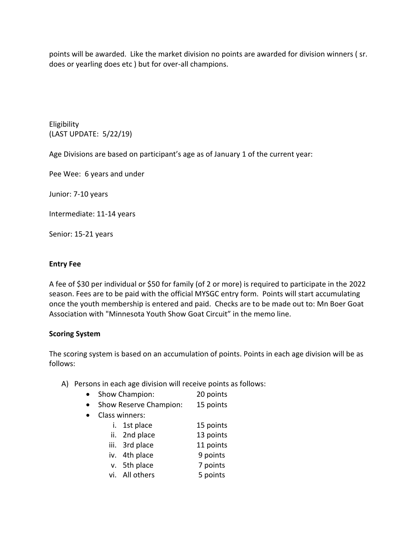points will be awarded. Like the market division no points are awarded for division winners ( sr. does or yearling does etc ) but for over-all champions.

Eligibility (LAST UPDATE: 5/22/19)

Age Divisions are based on participant's age as of January 1 of the current year:

Pee Wee: 6 years and under

Junior: 7-10 years

Intermediate: 11-14 years

Senior: 15-21 years

## **Entry Fee**

A fee of \$30 per individual or \$50 for family (of 2 or more) is required to participate in the 2022 season. Fees are to be paid with the official MYSGC entry form. Points will start accumulating once the youth membership is entered and paid. Checks are to be made out to: Mn Boer Goat Association with "Minnesota Youth Show Goat Circuit" in the memo line.

## **Scoring System**

The scoring system is based on an accumulation of points. Points in each age division will be as follows:

- A) Persons in each age division will receive points as follows:
	- Show Champion: 20 points
	- Show Reserve Champion: 15 points
	- Class winners:
		- i. 1st place 15 points ii. 2nd place 13 points
		- iii. 3rd place 11 points
		- iv. 4th place 9 points
		- v. 5th place 7 points
		-
		- vi. All others 5 points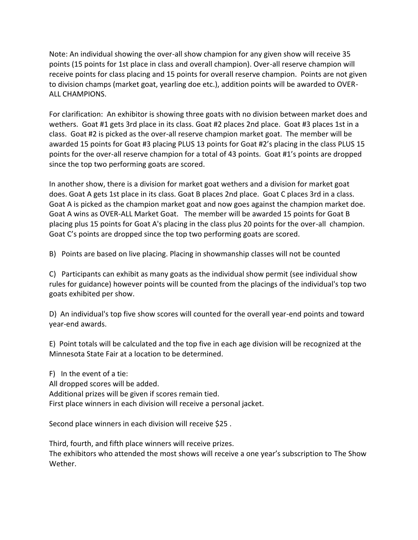Note: An individual showing the over-all show champion for any given show will receive 35 points (15 points for 1st place in class and overall champion). Over-all reserve champion will receive points for class placing and 15 points for overall reserve champion. Points are not given to division champs (market goat, yearling doe etc.), addition points will be awarded to OVER-ALL CHAMPIONS.

For clarification: An exhibitor is showing three goats with no division between market does and wethers. Goat #1 gets 3rd place in its class. Goat #2 places 2nd place. Goat #3 places 1st in a class. Goat #2 is picked as the over-all reserve champion market goat. The member will be awarded 15 points for Goat #3 placing PLUS 13 points for Goat #2's placing in the class PLUS 15 points for the over-all reserve champion for a total of 43 points. Goat #1's points are dropped since the top two performing goats are scored.

In another show, there is a division for market goat wethers and a division for market goat does. Goat A gets 1st place in its class. Goat B places 2nd place. Goat C places 3rd in a class. Goat A is picked as the champion market goat and now goes against the champion market doe. Goat A wins as OVER-ALL Market Goat. The member will be awarded 15 points for Goat B placing plus 15 points for Goat A's placing in the class plus 20 points for the over-all champion. Goat C's points are dropped since the top two performing goats are scored.

B) Points are based on live placing. Placing in showmanship classes will not be counted

C) Participants can exhibit as many goats as the individual show permit (see individual show rules for guidance) however points will be counted from the placings of the individual's top two goats exhibited per show.

D) An individual's top five show scores will counted for the overall year-end points and toward year-end awards.

E) Point totals will be calculated and the top five in each age division will be recognized at the Minnesota State Fair at a location to be determined.

F) In the event of a tie: All dropped scores will be added. Additional prizes will be given if scores remain tied. First place winners in each division will receive a personal jacket.

Second place winners in each division will receive \$25 .

Third, fourth, and fifth place winners will receive prizes. The exhibitors who attended the most shows will receive a one year's subscription to The Show Wether.